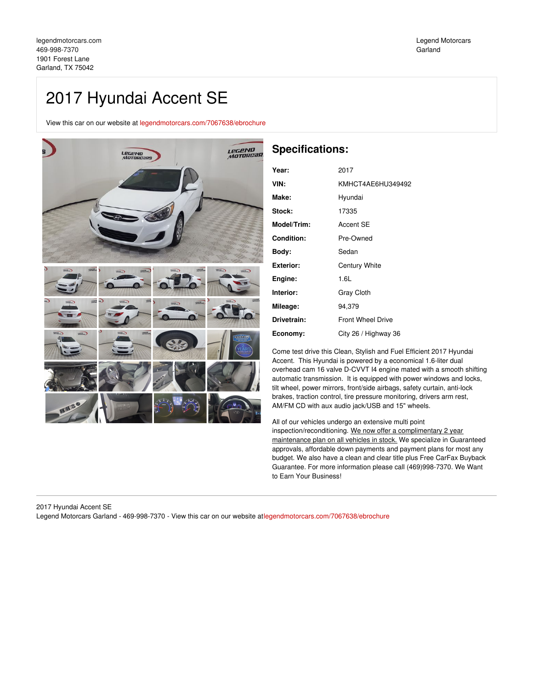# 2017 Hyundai Accent SE

View this car on our website at [legendmotorcars.com/7067638/ebrochure](https://legendmotorcars.com/vehicle/7067638/2017-hyundai-accent-se-garland-tx-75042/7067638/ebrochure)



# **Specifications:**

| Year:         | 2017                     |
|---------------|--------------------------|
| VIN:          | KMHCT4AE6HU349492        |
| Make:         | Hyundai                  |
| <b>Stock:</b> | 17335                    |
| Model/Trim:   | Accent SE                |
| Condition:    | Pre-Owned                |
| Bodv:         | Sedan                    |
| Exterior:     | <b>Century White</b>     |
| Engine:       | 1.6L                     |
| Interior:     | <b>Gray Cloth</b>        |
| Mileage:      | 94,379                   |
| Drivetrain:   | <b>Front Wheel Drive</b> |
| Economy:      | City 26 / Highway 36     |

Come test drive this Clean, Stylish and Fuel Efficient 2017 Hyundai Accent. This Hyundai is powered by a economical 1.6-liter dual overhead cam 16 valve D-CVVT I4 engine mated with a smooth shifting automatic transmission. It is equipped with power windows and locks, tilt wheel, power mirrors, front/side airbags, safety curtain, anti-lock brakes, traction control, tire pressure monitoring, drivers arm rest, AM/FM CD with aux audio jack/USB and 15" wheels.

All of our vehicles undergo an extensive multi point inspection/reconditioning. We now offer a complimentary 2 year maintenance plan on all vehicles in stock. We specialize in Guaranteed approvals, affordable down payments and payment plans for most any budget. We also have a clean and clear title plus Free CarFax Buyback Guarantee. For more information please call (469)998-7370. We Want to Earn Your Business!

2017 Hyundai Accent SE Legend Motorcars Garland - 469-998-7370 - View this car on our website a[tlegendmotorcars.com/7067638/ebrochure](https://legendmotorcars.com/vehicle/7067638/2017-hyundai-accent-se-garland-tx-75042/7067638/ebrochure)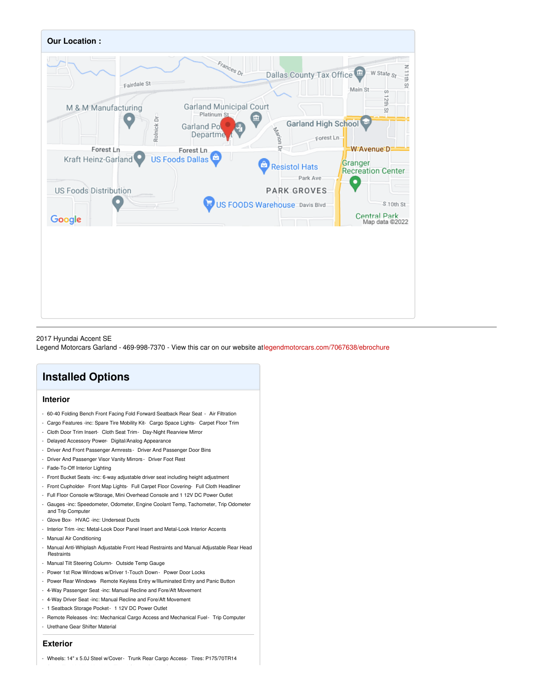

### 2017 Hyundai Accent SE

Legend Motorcars Garland - 469-998-7370 - View this car on our website a[tlegendmotorcars.com/7067638/ebrochure](https://legendmotorcars.com/vehicle/7067638/2017-hyundai-accent-se-garland-tx-75042/7067638/ebrochure)

# **Installed Options**

## **Interior**

- 60-40 Folding Bench Front Facing Fold Forward Seatback Rear Seat Air Filtration
- Cargo Features -inc: Spare Tire Mobility Kit- Cargo Space Lights- Carpet Floor Trim
- Cloth Door Trim Insert- Cloth Seat Trim- Day-Night Rearview Mirror
- Delayed Accessory Power- Digital/Analog Appearance
- Driver And Front Passenger Armrests Driver And Passenger Door Bins
- Driver And Passenger Visor Vanity Mirrors Driver Foot Rest
- Fade-To-Off Interior Lighting
- Front Bucket Seats -inc: 6-way adjustable driver seat including height adjustment
- Front Cupholder- Front Map Lights- Full Carpet Floor Covering- Full Cloth Headliner
- Full Floor Console w/Storage, Mini Overhead Console and 1 12V DC Power Outlet
- Gauges -inc: Speedometer, Odometer, Engine Coolant Temp, Tachometer, Trip Odometer and Trip Computer
- Glove Box- HVAC -inc: Underseat Ducts
- Interior Trim -inc: Metal-Look Door Panel Insert and Metal-Look Interior Accents
- Manual Air Conditioning
- Manual Anti-Whiplash Adjustable Front Head Restraints and Manual Adjustable Rear Head Restraints
- Manual Tilt Steering Column- Outside Temp Gauge
- Power 1st Row Windows w/Driver 1-Touch Down Power Door Locks
- Power Rear Windows- Remote Keyless Entry w/Illuminated Entry and Panic Button
- 4-Way Passenger Seat -inc: Manual Recline and Fore/Aft Movement
- 4-Way Driver Seat -inc: Manual Recline and Fore/Aft Movement
- 1 Seatback Storage Pocket- 1 12V DC Power Outlet
- Remote Releases -Inc: Mechanical Cargo Access and Mechanical Fuel- Trip Computer
- Urethane Gear Shifter Material

#### **Exterior**

- Wheels: 14" x 5.0J Steel w/Cover- Trunk Rear Cargo Access- Tires: P175/70TR14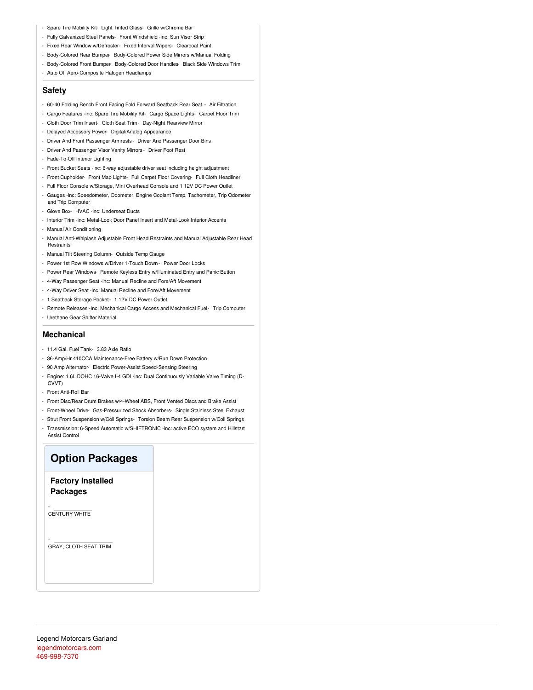- Spare Tire Mobility Kit- Light Tinted Glass- Grille w/Chrome Bar
- Fully Galvanized Steel Panels- Front Windshield -inc: Sun Visor Strip
- Fixed Rear Window w/Defroster- Fixed Interval Wipers- Clearcoat Paint
- Body-Colored Rear Bumper- Body-Colored Power Side Mirrors w/Manual Folding
- Body-Colored Front Bumper- Body-Colored Door Handles- Black Side Windows Trim
- Auto Off Aero-Composite Halogen Headlamps

## **Safety**

- 60-40 Folding Bench Front Facing Fold Forward Seatback Rear Seat Air Filtration
- Cargo Features -inc: Spare Tire Mobility Kit- Cargo Space Lights- Carpet Floor Trim
- Cloth Door Trim Insert- Cloth Seat Trim- Day-Night Rearview Mirror
- Delayed Accessory Power- Digital/Analog Appearance
- Driver And Front Passenger Armrests Driver And Passenger Door Bins
- Driver And Passenger Visor Vanity Mirrors Driver Foot Rest
- Fade-To-Off Interior Lighting
- Front Bucket Seats -inc: 6-way adjustable driver seat including height adjustment
- Front Cupholder- Front Map Lights- Full Carpet Floor Covering- Full Cloth Headliner
- Full Floor Console w/Storage, Mini Overhead Console and 1 12V DC Power Outlet - Gauges -inc: Speedometer, Odometer, Engine Coolant Temp, Tachometer, Trip Odometer
- and Trip Computer
- Glove Box- HVAC -inc: Underseat Ducts
- Interior Trim -inc: Metal-Look Door Panel Insert and Metal-Look Interior Accents
- Manual Air Conditioning
- Manual Anti-Whiplash Adjustable Front Head Restraints and Manual Adjustable Rear Head **Restraints**
- Manual Tilt Steering Column- Outside Temp Gauge
- Power 1st Row Windows w/Driver 1-Touch Down Power Door Locks
- Power Rear Windows- Remote Keyless Entry w/Illuminated Entry and Panic Button
- 4-Way Passenger Seat -inc: Manual Recline and Fore/Aft Movement
- 4-Way Driver Seat -inc: Manual Recline and Fore/Aft Movement
- 1 Seatback Storage Pocket- 1 12V DC Power Outlet
- Remote Releases -Inc: Mechanical Cargo Access and Mechanical Fuel- Trip Computer
- Urethane Gear Shifter Material

## **Mechanical**

- 11.4 Gal. Fuel Tank- 3.83 Axle Ratio
- 36-Amp/Hr 410CCA Maintenance-Free Battery w/Run Down Protection
- 90 Amp Alternator- Electric Power-Assist Speed-Sensing Steering
- Engine: 1.6L DOHC 16-Valve I-4 GDI -inc: Dual Continuously Variable Valve Timing (D-CVVT)
- Front Anti-Roll Bar
- Front Disc/Rear Drum Brakes w/4-Wheel ABS, Front Vented Discs and Brake Assist
- Front-Wheel Drive- Gas-Pressurized Shock Absorbers- Single Stainless Steel Exhaust
- Strut Front Suspension w/Coil Springs- Torsion Beam Rear Suspension w/Coil Springs
- Transmission: 6-Speed Automatic w/SHIFTRONIC -inc: active ECO system and Hillstart Assist Control

# **Option Packages**

**Factory Installed Packages**

- CENTURY WHITE

-

GRAY, CLOTH SEAT TRIM